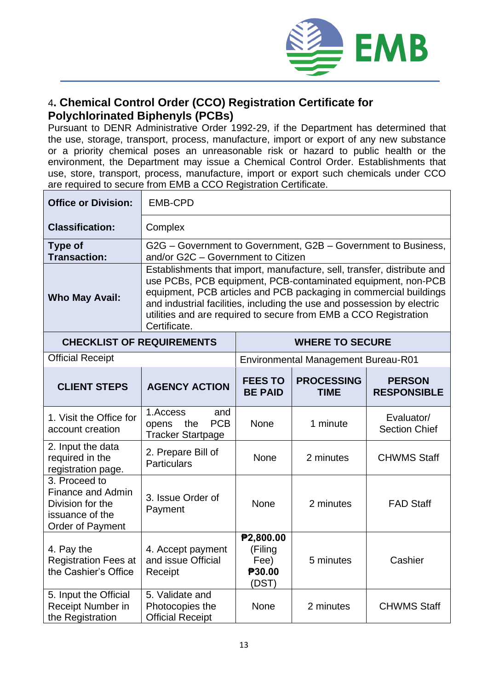

## 4**. Chemical Control Order (CCO) Registration Certificate for Polychlorinated Biphenyls (PCBs)**

Pursuant to DENR Administrative Order 1992-29, if the Department has determined that the use, storage, transport, process, manufacture, import or export of any new substance or a priority chemical poses an unreasonable risk or hazard to public health or the environment, the Department may issue a Chemical Control Order. Establishments that use, store, transport, process, manufacture, import or export such chemicals under CCO are required to secure from EMB a CCO Registration Certificate.

| <b>Office or Division:</b>                                                                           | <b>EMB-CPD</b>                                                                                                                                                                                                                                                                                                                                                              |                                                 |                                            |                                     |  |
|------------------------------------------------------------------------------------------------------|-----------------------------------------------------------------------------------------------------------------------------------------------------------------------------------------------------------------------------------------------------------------------------------------------------------------------------------------------------------------------------|-------------------------------------------------|--------------------------------------------|-------------------------------------|--|
| <b>Classification:</b>                                                                               | Complex                                                                                                                                                                                                                                                                                                                                                                     |                                                 |                                            |                                     |  |
| <b>Type of</b><br><b>Transaction:</b>                                                                | G2G - Government to Government, G2B - Government to Business,<br>and/or G2C - Government to Citizen                                                                                                                                                                                                                                                                         |                                                 |                                            |                                     |  |
| <b>Who May Avail:</b>                                                                                | Establishments that import, manufacture, sell, transfer, distribute and<br>use PCBs, PCB equipment, PCB-contaminated equipment, non-PCB<br>equipment, PCB articles and PCB packaging in commercial buildings<br>and industrial facilities, including the use and possession by electric<br>utilities and are required to secure from EMB a CCO Registration<br>Certificate. |                                                 |                                            |                                     |  |
| <b>CHECKLIST OF REQUIREMENTS</b>                                                                     | <b>WHERE TO SECURE</b>                                                                                                                                                                                                                                                                                                                                                      |                                                 |                                            |                                     |  |
| <b>Official Receipt</b>                                                                              |                                                                                                                                                                                                                                                                                                                                                                             |                                                 | <b>Environmental Management Bureau-R01</b> |                                     |  |
| <b>CLIENT STEPS</b>                                                                                  | <b>AGENCY ACTION</b>                                                                                                                                                                                                                                                                                                                                                        | <b>FEES TO</b><br><b>BE PAID</b>                | <b>PROCESSING</b><br><b>TIME</b>           | <b>PERSON</b><br><b>RESPONSIBLE</b> |  |
| 1. Visit the Office for<br>account creation                                                          | 1.Access<br>and<br><b>PCB</b><br>the<br>opens<br><b>Tracker Startpage</b>                                                                                                                                                                                                                                                                                                   | <b>None</b>                                     | 1 minute                                   | Evaluator/<br><b>Section Chief</b>  |  |
| 2. Input the data<br>required in the<br>registration page.                                           | 2. Prepare Bill of<br><b>Particulars</b>                                                                                                                                                                                                                                                                                                                                    | <b>None</b>                                     | 2 minutes                                  | <b>CHWMS Staff</b>                  |  |
| 3. Proceed to<br><b>Finance and Admin</b><br>Division for the<br>issuance of the<br>Order of Payment | 3. Issue Order of<br>Payment                                                                                                                                                                                                                                                                                                                                                | None                                            | 2 minutes                                  | <b>FAD Staff</b>                    |  |
| 4. Pay the<br>Registration Fees at  <br>the Cashier's Office                                         | 4. Accept payment<br>and issue Official<br>Receipt                                                                                                                                                                                                                                                                                                                          | P2,800.00<br>(Filing<br>Fee)<br>P30.00<br>(DST) | 5 minutes                                  | Cashier                             |  |
| 5. Input the Official<br>Receipt Number in<br>the Registration                                       | 5. Validate and<br>Photocopies the<br><b>Official Receipt</b>                                                                                                                                                                                                                                                                                                               | None                                            | 2 minutes                                  | <b>CHWMS Staff</b>                  |  |